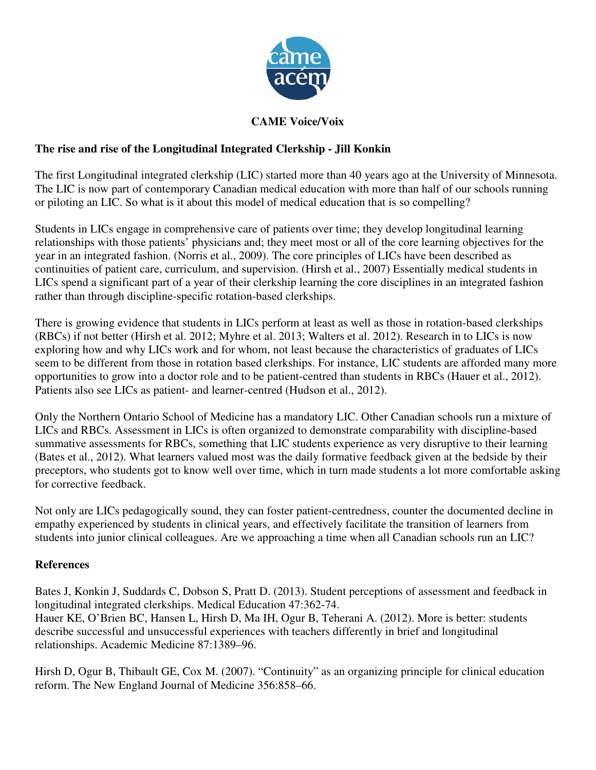

## **CAME Voice/Voix**

## **The rise and rise of the Longitudinal Integrated Clerkship - Jill Konkin**

The first Longitudinal integrated clerkship (LIC) started more than 40 years ago at the University of Minnesota. The LIC is now part of contemporary Canadian medical education with more than half of our schools running or piloting an LIC. So what is it about this model of medical education that is so compelling?

Students in LICs engage in comprehensive care of patients over time; they develop longitudinal learning relationships with those patients' physicians and; they meet most or all of the core learning objectives for the year in an integrated fashion. (Norris et al., 2009). The core principles of LICs have been described as continuities of patient care, curriculum, and supervision. (Hirsh et al., 2007) Essentially medical students in LICs spend a significant part of a year of their clerkship learning the core disciplines in an integrated fashion rather than through discipline-specific rotation-based clerkships.

There is growing evidence that students in LICs perform at least as well as those in rotation-based clerkships (RBCs) if not better (Hirsh et al. 2012; Myhre et al. 2013; Walters et al. 2012). Research in to LICs is now exploring how and why LICs work and for whom, not least because the characteristics of graduates of LICs seem to be different from those in rotation based clerkships. For instance, LIC students are afforded many more opportunities to grow into a doctor role and to be patient-centred than students in RBCs (Hauer et al., 2012). Patients also see LICs as patient- and learner-centred (Hudson et al., 2012).

Only the Northern Ontario School of Medicine has a mandatory LIC. Other Canadian schools run a mixture of LICs and RBCs. Assessment in LICs is often organized to demonstrate comparability with discipline-based summative assessments for RBCs, something that LIC students experience as very disruptive to their learning (Bates et al., 2012). What learners valued most was the daily formative feedback given at the bedside by their preceptors, who students got to know well over time, which in turn made students a lot more comfortable asking for corrective feedback.

Not only are LICs pedagogically sound, they can foster patient-centredness, counter the documented decline in empathy experienced by students in clinical years, and effectively facilitate the transition of learners from students into junior clinical colleagues. Are we approaching a time when all Canadian schools run an LIC?

## **References**

Bates J, Konkin J, Suddards C, Dobson S, Pratt D. (2013). Student perceptions of assessment and feedback in longitudinal integrated clerkships. Medical Education 47:362-74. Hauer KE, O'Brien BC, Hansen L, Hirsh D, Ma IH, Ogur B, Teherani A. (2012). More is better: students describe successful and unsuccessful experiences with teachers differently in brief and longitudinal relationships. Academic Medicine 87:1389–96.

Hirsh D, Ogur B, Thibault GE, Cox M. (2007). "Continuity" as an organizing principle for clinical education reform. The New England Journal of Medicine 356:858–66.